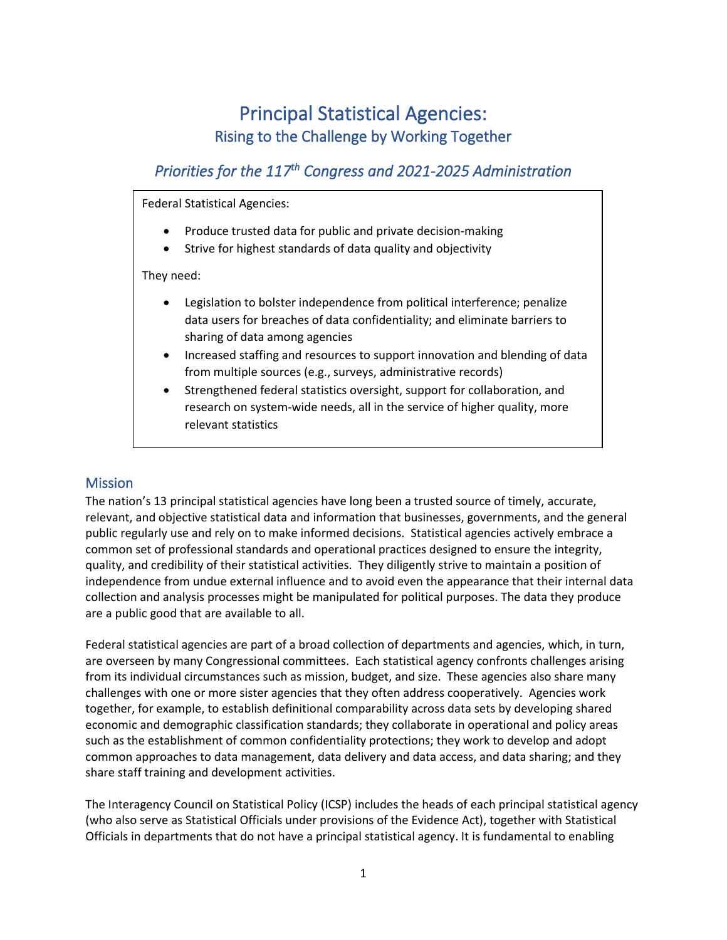# Principal Statistical Agencies: Rising to the Challenge by Working Together

# *Priorities for the 117th Congress and 2021-2025 Administration*

Federal Statistical Agencies:

- Produce trusted data for public and private decision-making
- Strive for highest standards of data quality and objectivity

They need:

- Legislation to bolster independence from political interference; penalize data users for breaches of data confidentiality; and eliminate barriers to sharing of data among agencies
- Increased staffing and resources to support innovation and blending of data from multiple sources (e.g., surveys, administrative records)
- Strengthened federal statistics oversight, support for collaboration, and research on system-wide needs, all in the service of higher quality, more relevant statistics

#### Mission

The nation's 13 principal statistical agencies have long been a trusted source of timely, accurate, relevant, and objective statistical data and information that businesses, governments, and the general public regularly use and rely on to make informed decisions. Statistical agencies actively embrace a common set of professional standards and operational practices designed to ensure the integrity, quality, and credibility of their statistical activities. They diligently strive to maintain a position of independence from undue external influence and to avoid even the appearance that their internal data collection and analysis processes might be manipulated for political purposes. The data they produce are a public good that are available to all.

Federal statistical agencies are part of a broad collection of departments and agencies, which, in turn, are overseen by many Congressional committees. Each statistical agency confronts challenges arising from its individual circumstances such as mission, budget, and size. These agencies also share many challenges with one or more sister agencies that they often address cooperatively. Agencies work together, for example, to establish definitional comparability across data sets by developing shared economic and demographic classification standards; they collaborate in operational and policy areas such as the establishment of common confidentiality protections; they work to develop and adopt common approaches to data management, data delivery and data access, and data sharing; and they share staff training and development activities.

The Interagency Council on Statistical Policy (ICSP) includes the heads of each principal statistical agency (who also serve as Statistical Officials under provisions of the Evidence Act), together with Statistical Officials in departments that do not have a principal statistical agency. It is fundamental to enabling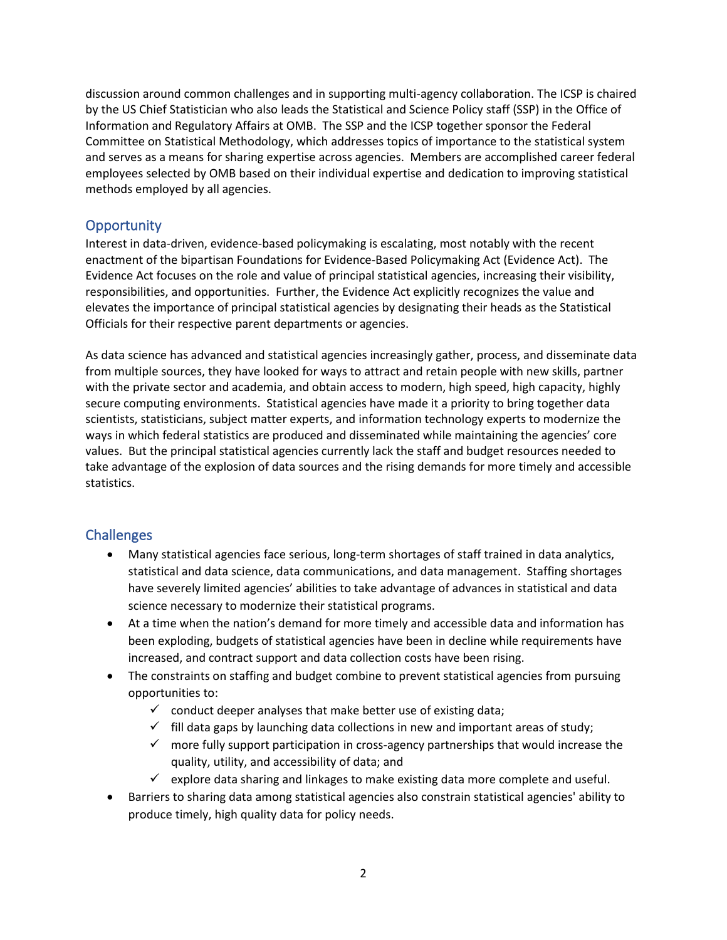discussion around common challenges and in supporting multi-agency collaboration. The ICSP is chaired by the US Chief Statistician who also leads the Statistical and Science Policy staff (SSP) in the Office of Information and Regulatory Affairs at OMB. The SSP and the ICSP together sponsor the Federal Committee on Statistical Methodology, which addresses topics of importance to the statistical system and serves as a means for sharing expertise across agencies. Members are accomplished career federal employees selected by OMB based on their individual expertise and dedication to improving statistical methods employed by all agencies.

# **Opportunity**

Interest in data-driven, evidence-based policymaking is escalating, most notably with the recent enactment of the bipartisan Foundations for Evidence-Based Policymaking Act (Evidence Act). The Evidence Act focuses on the role and value of principal statistical agencies, increasing their visibility, responsibilities, and opportunities. Further, the Evidence Act explicitly recognizes the value and elevates the importance of principal statistical agencies by designating their heads as the Statistical Officials for their respective parent departments or agencies.

As data science has advanced and statistical agencies increasingly gather, process, and disseminate data from multiple sources, they have looked for ways to attract and retain people with new skills, partner with the private sector and academia, and obtain access to modern, high speed, high capacity, highly secure computing environments. Statistical agencies have made it a priority to bring together data scientists, statisticians, subject matter experts, and information technology experts to modernize the ways in which federal statistics are produced and disseminated while maintaining the agencies' core values. But the principal statistical agencies currently lack the staff and budget resources needed to take advantage of the explosion of data sources and the rising demands for more timely and accessible statistics.

#### **Challenges**

- Many statistical agencies face serious, long-term shortages of staff trained in data analytics, statistical and data science, data communications, and data management. Staffing shortages have severely limited agencies' abilities to take advantage of advances in statistical and data science necessary to modernize their statistical programs.
- At a time when the nation's demand for more timely and accessible data and information has been exploding, budgets of statistical agencies have been in decline while requirements have increased, and contract support and data collection costs have been rising.
- The constraints on staffing and budget combine to prevent statistical agencies from pursuing opportunities to:
	- $\checkmark$  conduct deeper analyses that make better use of existing data;
	- $\checkmark$  fill data gaps by launching data collections in new and important areas of study;
	- $\checkmark$  more fully support participation in cross-agency partnerships that would increase the quality, utility, and accessibility of data; and
	- $\checkmark$  explore data sharing and linkages to make existing data more complete and useful.
- Barriers to sharing data among statistical agencies also constrain statistical agencies' ability to produce timely, high quality data for policy needs.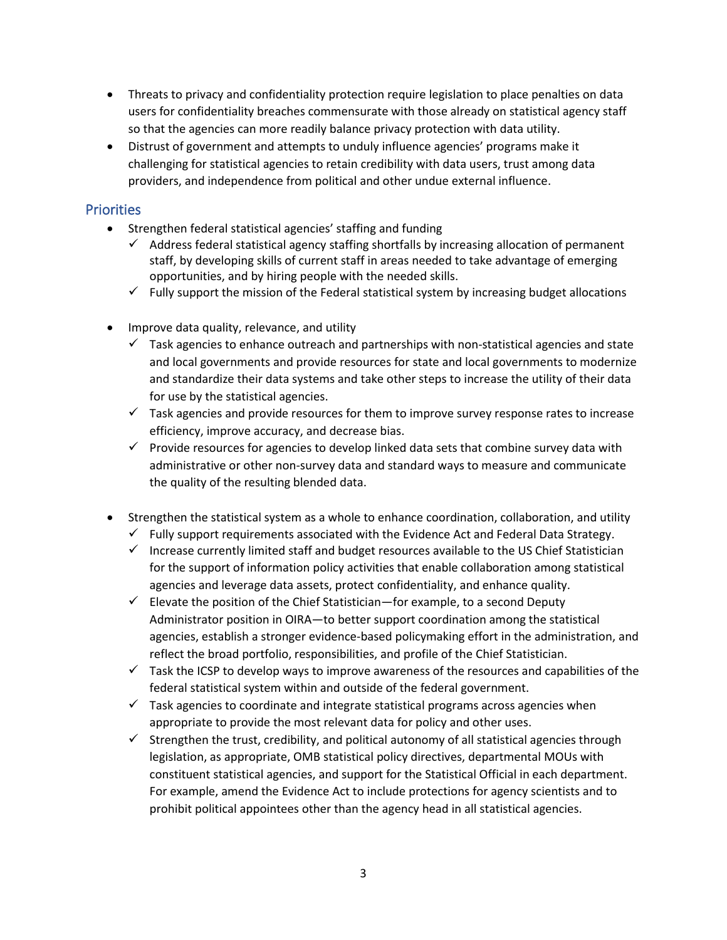- Threats to privacy and confidentiality protection require legislation to place penalties on data users for confidentiality breaches commensurate with those already on statistical agency staff so that the agencies can more readily balance privacy protection with data utility.
- Distrust of government and attempts to unduly influence agencies' programs make it challenging for statistical agencies to retain credibility with data users, trust among data providers, and independence from political and other undue external influence.

#### **Priorities**

- Strengthen federal statistical agencies' staffing and funding
	- $\checkmark$  Address federal statistical agency staffing shortfalls by increasing allocation of permanent staff, by developing skills of current staff in areas needed to take advantage of emerging opportunities, and by hiring people with the needed skills.
	- $\checkmark$  Fully support the mission of the Federal statistical system by increasing budget allocations
- Improve data quality, relevance, and utility
	- $\checkmark$  Task agencies to enhance outreach and partnerships with non-statistical agencies and state and local governments and provide resources for state and local governments to modernize and standardize their data systems and take other steps to increase the utility of their data for use by the statistical agencies.
	- $\checkmark$  Task agencies and provide resources for them to improve survey response rates to increase efficiency, improve accuracy, and decrease bias.
	- $\checkmark$  Provide resources for agencies to develop linked data sets that combine survey data with administrative or other non-survey data and standard ways to measure and communicate the quality of the resulting blended data.
- Strengthen the statistical system as a whole to enhance coordination, collaboration, and utility
	- $\checkmark$  Fully support requirements associated with the Evidence Act and Federal Data Strategy.
	- ✓ Increase currently limited staff and budget resources available to the US Chief Statistician for the support of information policy activities that enable collaboration among statistical agencies and leverage data assets, protect confidentiality, and enhance quality.
	- $\checkmark$  Elevate the position of the Chief Statistician—for example, to a second Deputy Administrator position in OIRA—to better support coordination among the statistical agencies, establish a stronger evidence-based policymaking effort in the administration, and reflect the broad portfolio, responsibilities, and profile of the Chief Statistician.
	- $\checkmark$  Task the ICSP to develop ways to improve awareness of the resources and capabilities of the federal statistical system within and outside of the federal government.
	- $\checkmark$  Task agencies to coordinate and integrate statistical programs across agencies when appropriate to provide the most relevant data for policy and other uses.
	- ✓ Strengthen the trust, credibility, and political autonomy of all statistical agencies through legislation, as appropriate, OMB statistical policy directives, departmental MOUs with constituent statistical agencies, and support for the Statistical Official in each department. For example, amend the Evidence Act to include protections for agency scientists and to prohibit political appointees other than the agency head in all statistical agencies.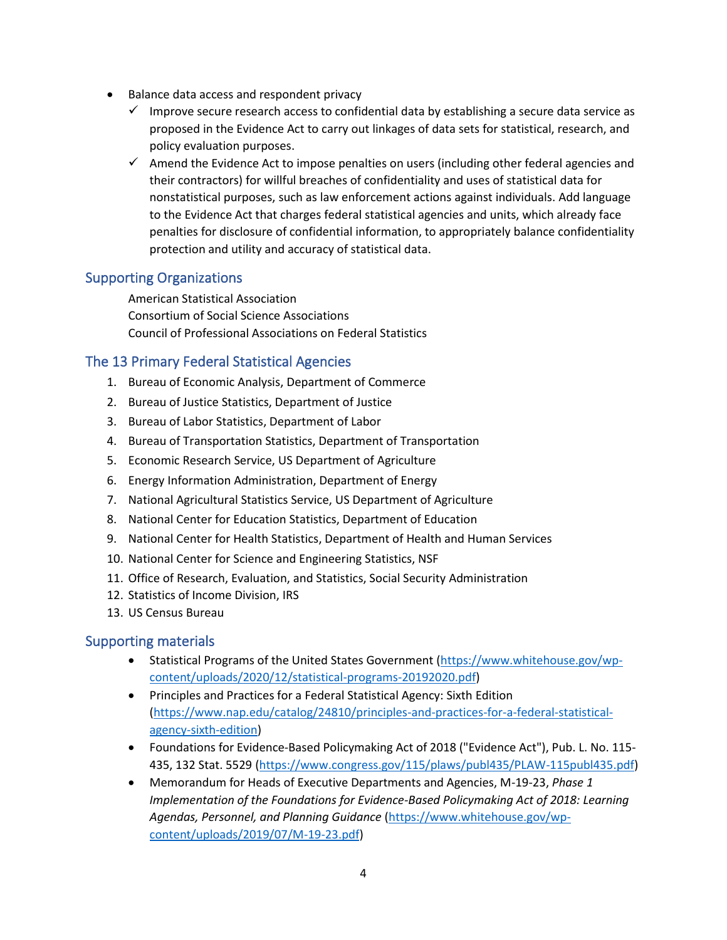- Balance data access and respondent privacy
	- $\checkmark$  Improve secure research access to confidential data by establishing a secure data service as proposed in the Evidence Act to carry out linkages of data sets for statistical, research, and policy evaluation purposes.
	- ✓ Amend the Evidence Act to impose penalties on users (including other federal agencies and their contractors) for willful breaches of confidentiality and uses of statistical data for nonstatistical purposes, such as law enforcement actions against individuals. Add language to the Evidence Act that charges federal statistical agencies and units, which already face penalties for disclosure of confidential information, to appropriately balance confidentiality protection and utility and accuracy of statistical data.

# Supporting Organizations

American Statistical Association Consortium of Social Science Associations Council of Professional Associations on Federal Statistics

# The 13 Primary Federal Statistical Agencies

- 1. Bureau of Economic Analysis, Department of Commerce
- 2. Bureau of Justice Statistics, Department of Justice
- 3. Bureau of Labor Statistics, Department of Labor
- 4. Bureau of Transportation Statistics, Department of Transportation
- 5. Economic Research Service, US Department of Agriculture
- 6. Energy Information Administration, Department of Energy
- 7. National Agricultural Statistics Service, US Department of Agriculture
- 8. National Center for Education Statistics, Department of Education
- 9. National Center for Health Statistics, Department of Health and Human Services
- 10. National Center for Science and Engineering Statistics, NSF
- 11. Office of Research, Evaluation, and Statistics, Social Security Administration
- 12. Statistics of Income Division, IRS
- 13. US Census Bureau

#### Supporting materials

- Statistical Programs of the United States Government [\(https://www.whitehouse.gov/wp](https://www.whitehouse.gov/wp-content/uploads/2020/12/statistical-programs-20192020.pdf)[content/uploads/2020/12/statistical-programs-20192020.pdf\)](https://www.whitehouse.gov/wp-content/uploads/2020/12/statistical-programs-20192020.pdf)
- Principles and Practices for a Federal Statistical Agency: Sixth Edition [\(https://www.nap.edu/catalog/24810/principles-and-practices-for-a-federal-statistical](https://www.nap.edu/catalog/24810/principles-and-practices-for-a-federal-statistical-agency-sixth-edition)[agency-sixth-edition\)](https://www.nap.edu/catalog/24810/principles-and-practices-for-a-federal-statistical-agency-sixth-edition)
- Foundations for Evidence-Based Policymaking Act of 2018 ("Evidence Act"), Pub. L. No. 115- 435, 132 Stat. 5529 [\(https://www.congress.gov/115/plaws/publ435/PLAW-115publ435.pdf\)](https://www.congress.gov/115/plaws/publ435/PLAW-115publ435.pdf)
- Memorandum for Heads of Executive Departments and Agencies, M-19-23, *Phase 1 Implementation of the Foundations for Evidence-Based Policymaking Act of 2018: Learning Agendas, Personnel, and Planning Guidance* [\(https://www.whitehouse.gov/wp](https://www.whitehouse.gov/wp-content/uploads/2019/07/M-19-23.pdf)[content/uploads/2019/07/M-19-23.pdf\)](https://www.whitehouse.gov/wp-content/uploads/2019/07/M-19-23.pdf)